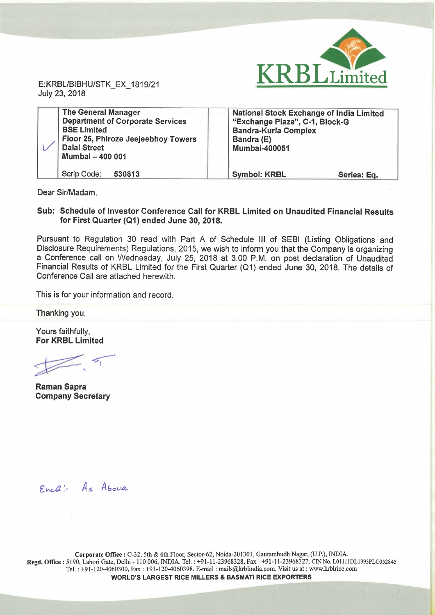

July 23, 2018

| <b>The General Manager</b><br><b>Department of Corporate Services</b><br><b>BSE Limited</b><br>Floor 25, Phiroze Jeejeebhoy Towers<br><b>Dalal Street</b><br>Mumbai - 400 001 | National Stock Exchange of India Limited<br>"Exchange Plaza", C-1, Block-G<br><b>Bandra-Kurla Complex</b><br>Bandra (E)<br><b>Mumbai-400051</b> |  |
|-------------------------------------------------------------------------------------------------------------------------------------------------------------------------------|-------------------------------------------------------------------------------------------------------------------------------------------------|--|
| Scrip Code:<br>530813                                                                                                                                                         | <b>Symbol: KRBL</b><br>Series: Eq.                                                                                                              |  |

Dear Sir/Madam,

#### Sub: Schedule of Investor Conference Call for KRBL Limited on Unaudited Financial Results for First Quarter (Q1) ended June 30, 2018.

Pursuant to Regulation 30 read with Part A of Schedule III of SEBI (Listing Obligations and Disclosure Requirements) Regulations, 2015, we wish to inform you that the Company is organizing <sup>a</sup> Conference call on Wednesday, July 25, 2018 at 3.00 PM. on post declaration of Unaudited Financial Results of KRBL Limited for the First Quarter (Q1) ended June 30, 2018. The details of Conference Call are attached herewith.

This is for your information and record.

Thanking you,

Yours faithfully, For KRBL Limited

Beman Santa

Raman Sapra Company Secretary

 $Enc\& -A_s$  Above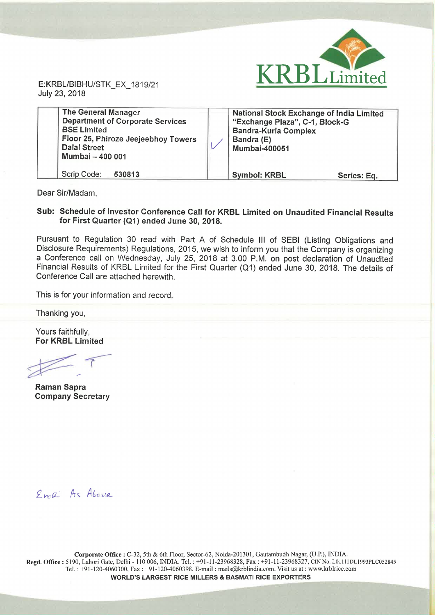

July 23, 2018

| <b>The General Manager</b><br><b>Department of Corporate Services</b><br><b>BSE Limited</b><br>Floor 25, Phiroze Jeejeebhoy Towers<br><b>Dalal Street</b><br>Mumbai - 400 001 | <b>National Stock Exchange of India Limited</b><br>"Exchange Plaza", C-1, Block-G<br><b>Bandra-Kurla Complex</b><br>Bandra (E)<br><b>Mumbai-400051</b> |             |
|-------------------------------------------------------------------------------------------------------------------------------------------------------------------------------|--------------------------------------------------------------------------------------------------------------------------------------------------------|-------------|
| Scrip Code:<br>530813                                                                                                                                                         | <b>Symbol: KRBL</b>                                                                                                                                    | Series: Eq. |

Dear Sir/Madam,

#### Sub: Schedule of Investor Conference Call for KRBL Limited on Unaudited Financial Results for First Quarter (Q1) ended June 30, 2018.

Pursuant to Regulation 30 read with Part A of Schedule III of SEBI (Listing Obligations and Disclosure Requirements) Regulations, 2015, we wish to inform you that the Company is organizing <sup>a</sup> Conference call on Wednesday, July 25, 2018 at 3.00 PM. on post declaration of Unaudited Financial Results of KRBL Limited for the First Quarter (Q1) ended June 30, 2018. The details of Conference Call are attached herewith.

This is for your information and record.

Thanking you,

Yours faithfully, For KRBL Limited

2%: "Fr"  $\not\equiv$ 'R

Raman Sapra Company Secretary

Evel: As Above